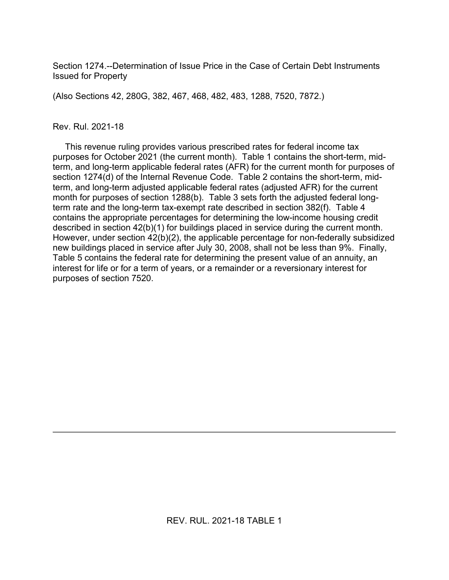Section 1274.--Determination of Issue Price in the Case of Certain Debt Instruments Issued for Property

(Also Sections 42, 280G, 382, 467, 468, 482, 483, 1288, 7520, 7872.)

### Rev. Rul. 2021-18

 This revenue ruling provides various prescribed rates for federal income tax purposes for October 2021 (the current month). Table 1 contains the short-term, midterm, and long-term applicable federal rates (AFR) for the current month for purposes of section 1274(d) of the Internal Revenue Code. Table 2 contains the short-term, midterm, and long-term adjusted applicable federal rates (adjusted AFR) for the current month for purposes of section 1288(b). Table 3 sets forth the adjusted federal longterm rate and the long-term tax-exempt rate described in section 382(f). Table 4 contains the appropriate percentages for determining the low-income housing credit described in section 42(b)(1) for buildings placed in service during the current month. However, under section 42(b)(2), the applicable percentage for non-federally subsidized new buildings placed in service after July 30, 2008, shall not be less than 9%. Finally, Table 5 contains the federal rate for determining the present value of an annuity, an interest for life or for a term of years, or a remainder or a reversionary interest for purposes of section 7520.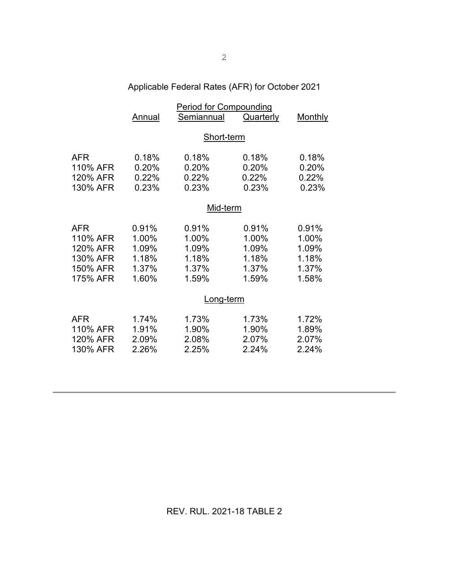# Applicable Federal Rates (AFR) for October 2021

|                                                                        | <b>Period for Compounding</b>                      |                                                    |                                                    |                                                    |  |
|------------------------------------------------------------------------|----------------------------------------------------|----------------------------------------------------|----------------------------------------------------|----------------------------------------------------|--|
|                                                                        | Annual                                             | Semiannual                                         | Quarterly                                          | Monthly                                            |  |
|                                                                        | Short-term                                         |                                                    |                                                    |                                                    |  |
| <b>AFR</b><br>110% AFR<br>120% AFR<br>130% AFR                         | 0.18%<br>0.20%<br>0.22%<br>0.23%                   | 0.18%<br>0.20%<br>0.22%<br>0.23%                   | 0.18%<br>0.20%<br>0.22%<br>0.23%                   | 0.18%<br>0.20%<br>0.22%<br>0.23%                   |  |
|                                                                        | Mid-term                                           |                                                    |                                                    |                                                    |  |
| <b>AFR</b><br>110% AFR<br>120% AFR<br>130% AFR<br>150% AFR<br>175% AFR | 0.91%<br>1.00%<br>1.09%<br>1.18%<br>1.37%<br>1.60% | 0.91%<br>1.00%<br>1.09%<br>1.18%<br>1.37%<br>1.59% | 0.91%<br>1.00%<br>1.09%<br>1.18%<br>1.37%<br>1.59% | 0.91%<br>1.00%<br>1.09%<br>1.18%<br>1.37%<br>1.58% |  |
|                                                                        | <u>Long-term</u>                                   |                                                    |                                                    |                                                    |  |
| <b>AFR</b><br>110% AFR<br>120% AFR<br>130% AFR                         | 1.74%<br>1.91%<br>2.09%<br>2.26%                   | 1.73%<br>1.90%<br>2.08%<br>2.25%                   | 1.73%<br>1.90%<br>2.07%<br>2.24%                   | 1.72%<br>1.89%<br>2.07%<br>2.24%                   |  |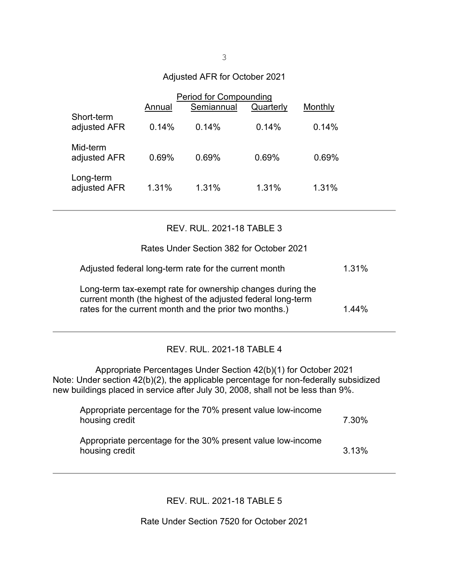### Adjusted AFR for October 2021

|                            | Annual | Period for Compounding<br>Semiannual | Quarterly | Monthly |
|----------------------------|--------|--------------------------------------|-----------|---------|
| Short-term<br>adjusted AFR | 0.14%  | 0.14%                                | 0.14%     | 0.14%   |
| Mid-term<br>adjusted AFR   | 0.69%  | 0.69%                                | 0.69%     | 0.69%   |
| Long-term<br>adjusted AFR  | 1.31%  | 1.31%                                | 1.31%     | 1.31%   |

### REV. RUL. 2021-18 TABLE 3

Rates Under Section 382 for October 2021

| Adjusted federal long-term rate for the current month                                                                                                                                | 1.31% |
|--------------------------------------------------------------------------------------------------------------------------------------------------------------------------------------|-------|
| Long-term tax-exempt rate for ownership changes during the<br>current month (the highest of the adjusted federal long-term<br>rates for the current month and the prior two months.) | 1.44% |

## REV. RUL. 2021-18 TABLE 4

Appropriate Percentages Under Section 42(b)(1) for October 2021 Note: Under section 42(b)(2), the applicable percentage for non-federally subsidized new buildings placed in service after July 30, 2008, shall not be less than 9%.

| Appropriate percentage for the 70% present value low-income<br>housing credit | 7.30% |
|-------------------------------------------------------------------------------|-------|
| Appropriate percentage for the 30% present value low-income<br>housing credit | 3.13% |

REV. RUL. 2021-18 TABLE 5

Rate Under Section 7520 for October 2021